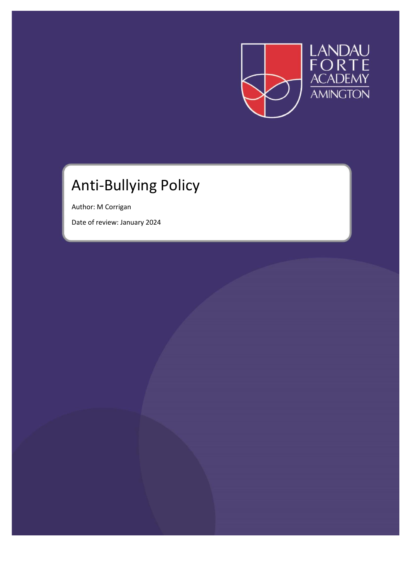

# Anti-Bullying Policy

Author: M Corrigan

Date of review: January 2024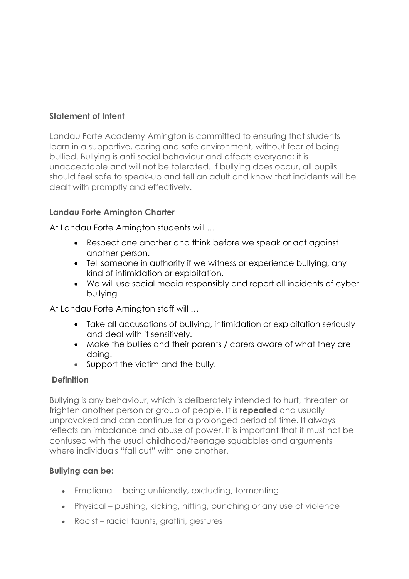## **Statement of Intent**

Landau Forte Academy Amington is committed to ensuring that students learn in a supportive, caring and safe environment, without fear of being bullied. Bullying is anti-social behaviour and affects everyone; it is unacceptable and will not be tolerated. If bullying does occur, all pupils should feel safe to speak-up and tell an adult and know that incidents will be dealt with promptly and effectively.

## **Landau Forte Amington Charter**

At Landau Forte Amington students will …

- Respect one another and think before we speak or act against another person.
- Tell someone in authority if we witness or experience bullying, any kind of intimidation or exploitation.
- We will use social media responsibly and report all incidents of cyber bullying

At Landau Forte Amington staff will …

- Take all accusations of bullying, intimidation or exploitation seriously and deal with it sensitively.
- Make the bullies and their parents / carers aware of what they are doing.
- Support the victim and the bully.

## **Definition**

Bullying is any behaviour, which is deliberately intended to hurt, threaten or frighten another person or group of people. It is **repeated** and usually unprovoked and can continue for a prolonged period of time. It always reflects an imbalance and abuse of power. It is important that it must not be confused with the usual childhood/teenage squabbles and arguments where individuals "fall out" with one another.

## **Bullying can be:**

- Emotional being unfriendly, excluding, tormenting
- Physical pushing, kicking, hitting, punching or any use of violence
- Racist racial taunts, graffiti, gestures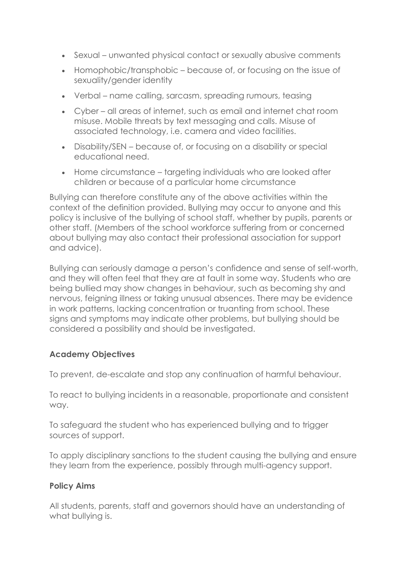- Sexual unwanted physical contact or sexually abusive comments
- Homophobic/transphobic because of, or focusing on the issue of sexuality/gender identity
- Verbal name calling, sarcasm, spreading rumours, teasing
- Cyber all areas of internet, such as email and internet chat room misuse. Mobile threats by text messaging and calls. Misuse of associated technology, i.e. camera and video facilities.
- Disability/SEN because of, or focusing on a disability or special educational need.
- Home circumstance targeting individuals who are looked after children or because of a particular home circumstance

Bullying can therefore constitute any of the above activities within the context of the definition provided. Bullying may occur to anyone and this policy is inclusive of the bullying of school staff, whether by pupils, parents or other staff. (Members of the school workforce suffering from or concerned about bullying may also contact their professional association for support and advice).

Bullying can seriously damage a person's confidence and sense of self-worth, and they will often feel that they are at fault in some way. Students who are being bullied may show changes in behaviour, such as becoming shy and nervous, feigning illness or taking unusual absences. There may be evidence in work patterns, lacking concentration or truanting from school. These signs and symptoms may indicate other problems, but bullying should be considered a possibility and should be investigated.

## **Academy Objectives**

To prevent, de-escalate and stop any continuation of harmful behaviour.

To react to bullying incidents in a reasonable, proportionate and consistent way.

To safeguard the student who has experienced bullying and to trigger sources of support.

To apply disciplinary sanctions to the student causing the bullying and ensure they learn from the experience, possibly through multi-agency support.

## **Policy Aims**

All students, parents, staff and governors should have an understanding of what bullying is.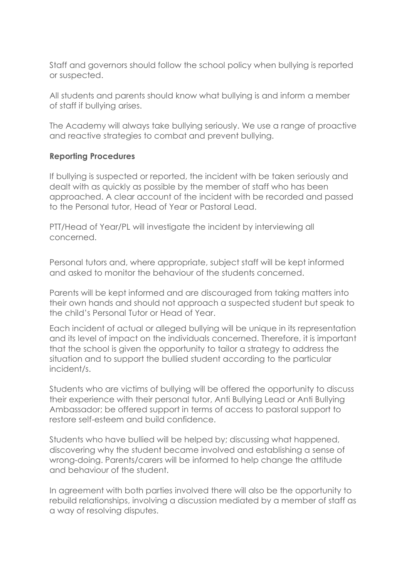Staff and governors should follow the school policy when bullying is reported or suspected.

All students and parents should know what bullying is and inform a member of staff if bullying arises.

The Academy will always take bullying seriously. We use a range of proactive and reactive strategies to combat and prevent bullying.

## **Reporting Procedures**

If bullying is suspected or reported, the incident with be taken seriously and dealt with as quickly as possible by the member of staff who has been approached. A clear account of the incident with be recorded and passed to the Personal tutor, Head of Year or Pastoral Lead.

PTT/Head of Year/PL will investigate the incident by interviewing all concerned.

Personal tutors and, where appropriate, subject staff will be kept informed and asked to monitor the behaviour of the students concerned.

Parents will be kept informed and are discouraged from taking matters into their own hands and should not approach a suspected student but speak to the child's Personal Tutor or Head of Year.

Each incident of actual or alleged bullying will be unique in its representation and its level of impact on the individuals concerned. Therefore, it is important that the school is given the opportunity to tailor a strategy to address the situation and to support the bullied student according to the particular incident/s.

Students who are victims of bullying will be offered the opportunity to discuss their experience with their personal tutor, Anti Bullying Lead or Anti Bullying Ambassador; be offered support in terms of access to pastoral support to restore self-esteem and build confidence.

Students who have bullied will be helped by; discussing what happened, discovering why the student became involved and establishing a sense of wrong-doing. Parents/carers will be informed to help change the attitude and behaviour of the student.

In agreement with both parties involved there will also be the opportunity to rebuild relationships, involving a discussion mediated by a member of staff as a way of resolving disputes.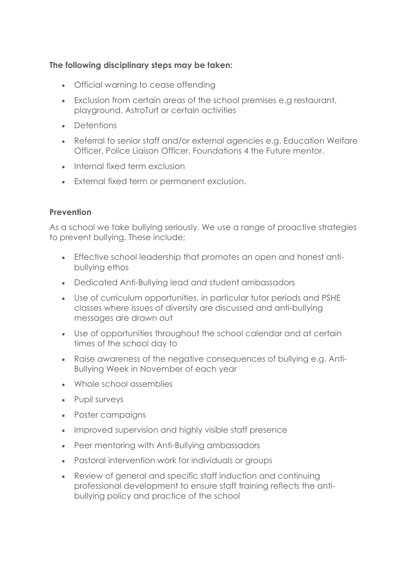## **The following disciplinary steps may be taken:**

- Official warning to cease offending
- Exclusion from certain areas of the school premises e.g restaurant, playground, AstroTurf or certain activities
- Detentions
- Referral to senior staff and/or external agencies e.g. Education Welfare Officer, Police Liaison Officer, Foundations 4 the Future mentor.
- Internal fixed term exclusion
- External fixed term or permanent exclusion.

## **Prevention**

As a school we take bullying seriously. We use a range of proactive strategies to prevent bullying. These include;

- Effective school leadership that promotes an open and honest antibullying ethos
- Dedicated Anti-Bullying lead and student ambassadors
- Use of curriculum opportunities, in particular tutor periods and PSHE classes where issues of diversity are discussed and anti-bullying messages are drawn out
- Use of opportunities throughout the school calendar and at certain times of the school day to
- Raise awareness of the negative consequences of bullying e.g. Anti-Bullying Week in November of each year
- Whole school assemblies
- Pupil surveys
- Poster campaigns
- Improved supervision and highly visible staff presence
- Peer mentoring with Anti-Bullying ambassadors
- Pastoral intervention work for individuals or groups
- Review of general and specific staff induction and continuing professional development to ensure staff training reflects the antibullying policy and practice of the school